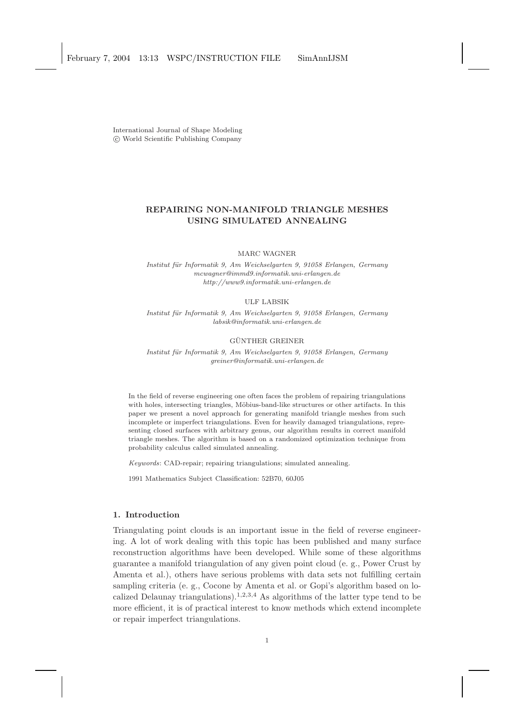International Journal of Shape Modeling c World Scientific Publishing Company

# REPAIRING NON-MANIFOLD TRIANGLE MESHES USING SIMULATED ANNEALING

MARC WAGNER

*Institut f¨ur Informatik 9, Am Weichselgarten 9, 91058 Erlangen, Germany mcwagner@immd9.informatik.uni-erlangen.de http://www9.informatik.uni-erlangen.de*

#### ULF LABSIK

*Institut f¨ur Informatik 9, Am Weichselgarten 9, 91058 Erlangen, Germany labsik@informatik.uni-erlangen.de*

# GÜNTHER GREINER

*Institut f¨ur Informatik 9, Am Weichselgarten 9, 91058 Erlangen, Germany greiner@informatik.uni-erlangen.de*

In the field of reverse engineering one often faces the problem of repairing triangulations with holes, intersecting triangles, Möbius-band-like structures or other artifacts. In this paper we present a novel approach for generating manifold triangle meshes from such incomplete or imperfect triangulations. Even for heavily damaged triangulations, representing closed surfaces with arbitrary genus, our algorithm results in correct manifold triangle meshes. The algorithm is based on a randomized optimization technique from probability calculus called simulated annealing.

*Keywords*: CAD-repair; repairing triangulations; simulated annealing.

1991 Mathematics Subject Classification: 52B70, 60J05

## 1. Introduction

Triangulating point clouds is an important issue in the field of reverse engineering. A lot of work dealing with this topic has been published and many surface reconstruction algorithms have been developed. While some of these algorithms guarantee a manifold triangulation of any given point cloud (e. g., Power Crust by Amenta et al.), others have serious problems with data sets not fulfilling certain sampling criteria (e. g., Cocone by Amenta et al. or Gopi's algorithm based on localized Delaunay triangulations).<sup>1,2,3,4</sup> As algorithms of the latter type tend to be more efficient, it is of practical interest to know methods which extend incomplete or repair imperfect triangulations.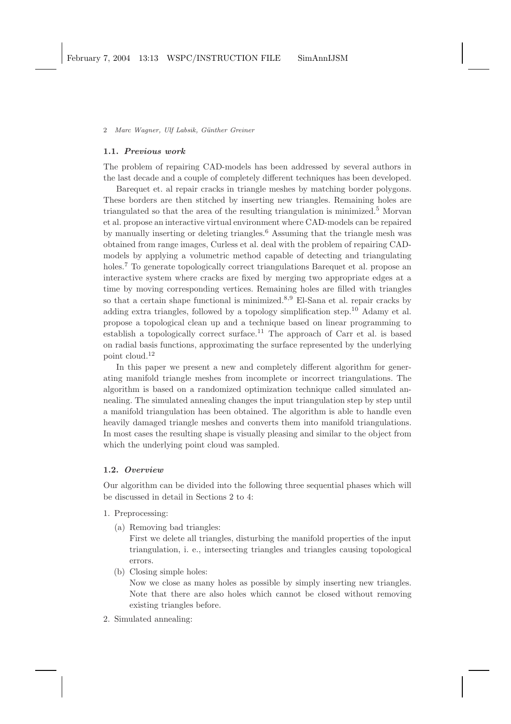### 1.1. Previous work

The problem of repairing CAD-models has been addressed by several authors in the last decade and a couple of completely different techniques has been developed.

Barequet et. al repair cracks in triangle meshes by matching border polygons. These borders are then stitched by inserting new triangles. Remaining holes are triangulated so that the area of the resulting triangulation is minimized.<sup>5</sup> Morvan et al. propose an interactive virtual environment where CAD-models can be repaired by manually inserting or deleting triangles.<sup>6</sup> Assuming that the triangle mesh was obtained from range images, Curless et al. deal with the problem of repairing CADmodels by applying a volumetric method capable of detecting and triangulating holes.<sup>7</sup> To generate topologically correct triangulations Barequet et al. propose an interactive system where cracks are fixed by merging two appropriate edges at a time by moving corresponding vertices. Remaining holes are filled with triangles so that a certain shape functional is minimized.<sup>8,9</sup> El-Sana et al. repair cracks by adding extra triangles, followed by a topology simplification step.<sup>10</sup> Adamy et al. propose a topological clean up and a technique based on linear programming to establish a topologically correct surface.<sup>11</sup> The approach of Carr et al. is based on radial basis functions, approximating the surface represented by the underlying point cloud.<sup>12</sup>

In this paper we present a new and completely different algorithm for generating manifold triangle meshes from incomplete or incorrect triangulations. The algorithm is based on a randomized optimization technique called simulated annealing. The simulated annealing changes the input triangulation step by step until a manifold triangulation has been obtained. The algorithm is able to handle even heavily damaged triangle meshes and converts them into manifold triangulations. In most cases the resulting shape is visually pleasing and similar to the object from which the underlying point cloud was sampled.

## 1.2. Overview

Our algorithm can be divided into the following three sequential phases which will be discussed in detail in Sections 2 to 4:

- 1. Preprocessing:
	- (a) Removing bad triangles:

First we delete all triangles, disturbing the manifold properties of the input triangulation, i. e., intersecting triangles and triangles causing topological errors.

(b) Closing simple holes:

Now we close as many holes as possible by simply inserting new triangles. Note that there are also holes which cannot be closed without removing existing triangles before.

2. Simulated annealing: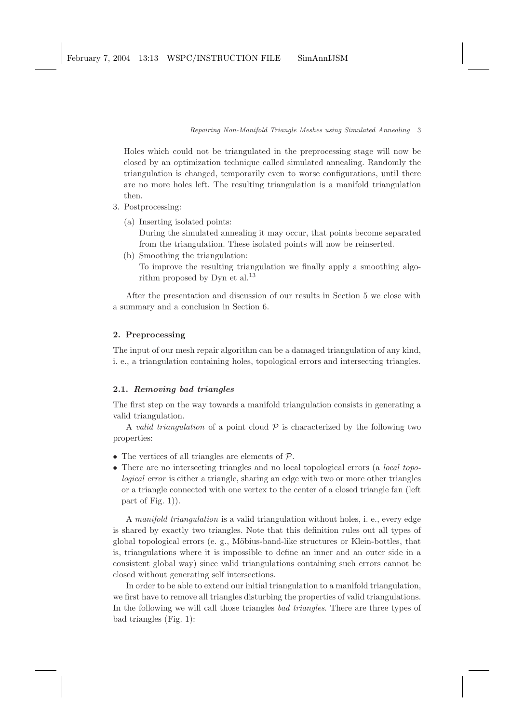Holes which could not be triangulated in the preprocessing stage will now be closed by an optimization technique called simulated annealing. Randomly the triangulation is changed, temporarily even to worse configurations, until there are no more holes left. The resulting triangulation is a manifold triangulation then.

- 3. Postprocessing:
	- (a) Inserting isolated points: During the simulated annealing it may occur, that points become separated from the triangulation. These isolated points will now be reinserted.
	- (b) Smoothing the triangulation: To improve the resulting triangulation we finally apply a smoothing algorithm proposed by Dyn et al.<sup>13</sup>

After the presentation and discussion of our results in Section 5 we close with a summary and a conclusion in Section 6.

# 2. Preprocessing

The input of our mesh repair algorithm can be a damaged triangulation of any kind, i. e., a triangulation containing holes, topological errors and intersecting triangles.

# 2.1. Removing bad triangles

The first step on the way towards a manifold triangulation consists in generating a valid triangulation.

A valid triangulation of a point cloud  $P$  is characterized by the following two properties:

- The vertices of all triangles are elements of  $P$ .
- There are no intersecting triangles and no local topological errors (a *local topo*logical error is either a triangle, sharing an edge with two or more other triangles or a triangle connected with one vertex to the center of a closed triangle fan (left part of Fig. 1)).

A manifold triangulation is a valid triangulation without holes, i. e., every edge is shared by exactly two triangles. Note that this definition rules out all types of global topological errors (e. g., Möbius-band-like structures or Klein-bottles, that is, triangulations where it is impossible to define an inner and an outer side in a consistent global way) since valid triangulations containing such errors cannot be closed without generating self intersections.

In order to be able to extend our initial triangulation to a manifold triangulation, we first have to remove all triangles disturbing the properties of valid triangulations. In the following we will call those triangles bad triangles. There are three types of bad triangles (Fig. 1):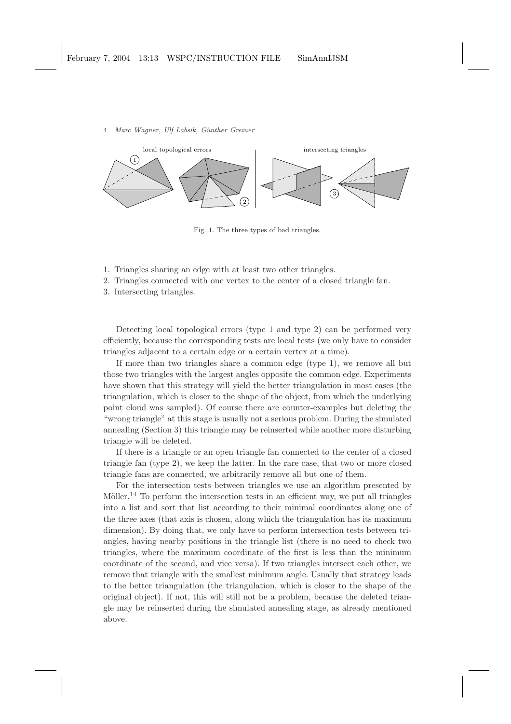

Fig. 1. The three types of bad triangles.

- 1. Triangles sharing an edge with at least two other triangles.
- 2. Triangles connected with one vertex to the center of a closed triangle fan.
- 3. Intersecting triangles.

Detecting local topological errors (type 1 and type 2) can be performed very efficiently, because the corresponding tests are local tests (we only have to consider triangles adjacent to a certain edge or a certain vertex at a time).

If more than two triangles share a common edge (type 1), we remove all but those two triangles with the largest angles opposite the common edge. Experiments have shown that this strategy will yield the better triangulation in most cases (the triangulation, which is closer to the shape of the object, from which the underlying point cloud was sampled). Of course there are counter-examples but deleting the "wrong triangle" at this stage is usually not a serious problem. During the simulated annealing (Section 3) this triangle may be reinserted while another more disturbing triangle will be deleted.

If there is a triangle or an open triangle fan connected to the center of a closed triangle fan (type 2), we keep the latter. In the rare case, that two or more closed triangle fans are connected, we arbitrarily remove all but one of them.

For the intersection tests between triangles we use an algorithm presented by Möller.<sup>14</sup> To perform the intersection tests in an efficient way, we put all triangles into a list and sort that list according to their minimal coordinates along one of the three axes (that axis is chosen, along which the triangulation has its maximum dimension). By doing that, we only have to perform intersection tests between triangles, having nearby positions in the triangle list (there is no need to check two triangles, where the maximum coordinate of the first is less than the minimum coordinate of the second, and vice versa). If two triangles intersect each other, we remove that triangle with the smallest minimum angle. Usually that strategy leads to the better triangulation (the triangulation, which is closer to the shape of the original object). If not, this will still not be a problem, because the deleted triangle may be reinserted during the simulated annealing stage, as already mentioned above.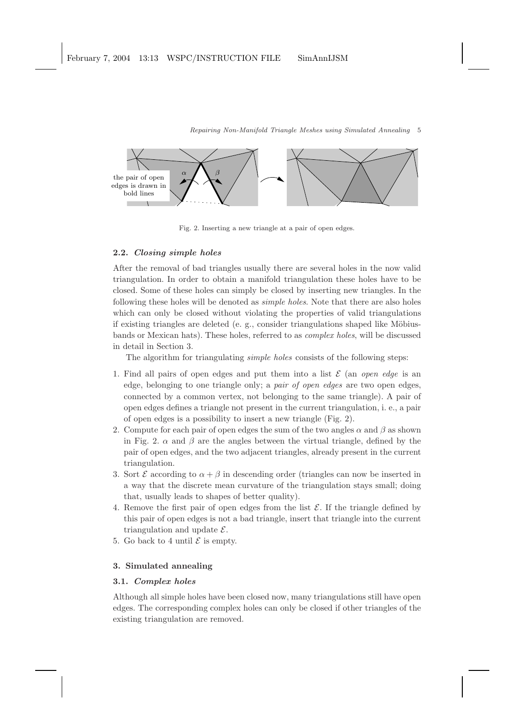

Fig. 2. Inserting a new triangle at a pair of open edges.

## 2.2. Closing simple holes

After the removal of bad triangles usually there are several holes in the now valid triangulation. In order to obtain a manifold triangulation these holes have to be closed. Some of these holes can simply be closed by inserting new triangles. In the following these holes will be denoted as simple holes. Note that there are also holes which can only be closed without violating the properties of valid triangulations if existing triangles are deleted (e. g., consider triangulations shaped like Möbiusbands or Mexican hats). These holes, referred to as complex holes, will be discussed in detail in Section 3.

The algorithm for triangulating *simple holes* consists of the following steps:

- 1. Find all pairs of open edges and put them into a list  $\mathcal E$  (an *open edge* is an edge, belonging to one triangle only; a pair of open edges are two open edges, connected by a common vertex, not belonging to the same triangle). A pair of open edges defines a triangle not present in the current triangulation, i. e., a pair of open edges is a possibility to insert a new triangle (Fig. 2).
- 2. Compute for each pair of open edges the sum of the two angles  $\alpha$  and  $\beta$  as shown in Fig. 2.  $\alpha$  and  $\beta$  are the angles between the virtual triangle, defined by the pair of open edges, and the two adjacent triangles, already present in the current triangulation.
- 3. Sort  $\mathcal E$  according to  $\alpha + \beta$  in descending order (triangles can now be inserted in a way that the discrete mean curvature of the triangulation stays small; doing that, usually leads to shapes of better quality).
- 4. Remove the first pair of open edges from the list  $\mathcal E$ . If the triangle defined by this pair of open edges is not a bad triangle, insert that triangle into the current triangulation and update  $\mathcal{E}$ .
- 5. Go back to 4 until  $\mathcal E$  is empty.

### 3. Simulated annealing

# 3.1. Complex holes

Although all simple holes have been closed now, many triangulations still have open edges. The corresponding complex holes can only be closed if other triangles of the existing triangulation are removed.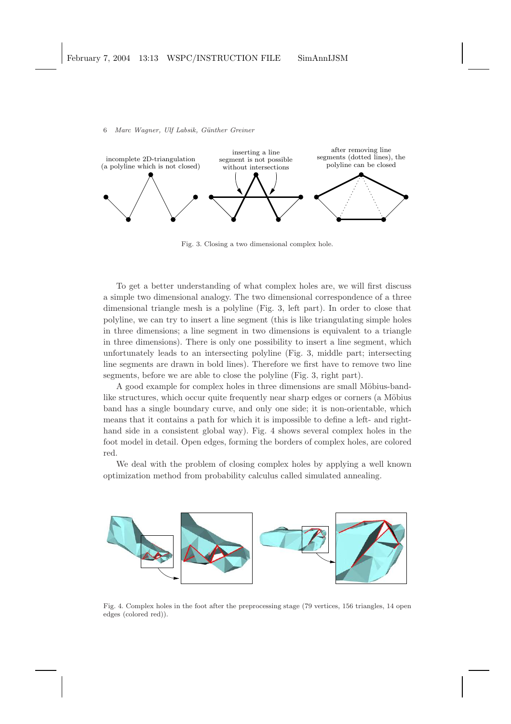

Fig. 3. Closing a two dimensional complex hole.

To get a better understanding of what complex holes are, we will first discuss a simple two dimensional analogy. The two dimensional correspondence of a three dimensional triangle mesh is a polyline (Fig. 3, left part). In order to close that polyline, we can try to insert a line segment (this is like triangulating simple holes in three dimensions; a line segment in two dimensions is equivalent to a triangle in three dimensions). There is only one possibility to insert a line segment, which unfortunately leads to an intersecting polyline (Fig. 3, middle part; intersecting line segments are drawn in bold lines). Therefore we first have to remove two line segments, before we are able to close the polyline (Fig. 3, right part).

A good example for complex holes in three dimensions are small Möbius-bandlike structures, which occur quite frequently near sharp edges or corners (a Möbius band has a single boundary curve, and only one side; it is non-orientable, which means that it contains a path for which it is impossible to define a left- and righthand side in a consistent global way). Fig. 4 shows several complex holes in the foot model in detail. Open edges, forming the borders of complex holes, are colored red.

We deal with the problem of closing complex holes by applying a well known optimization method from probability calculus called simulated annealing.



Fig. 4. Complex holes in the foot after the preprocessing stage (79 vertices, 156 triangles, 14 open edges (colored red)).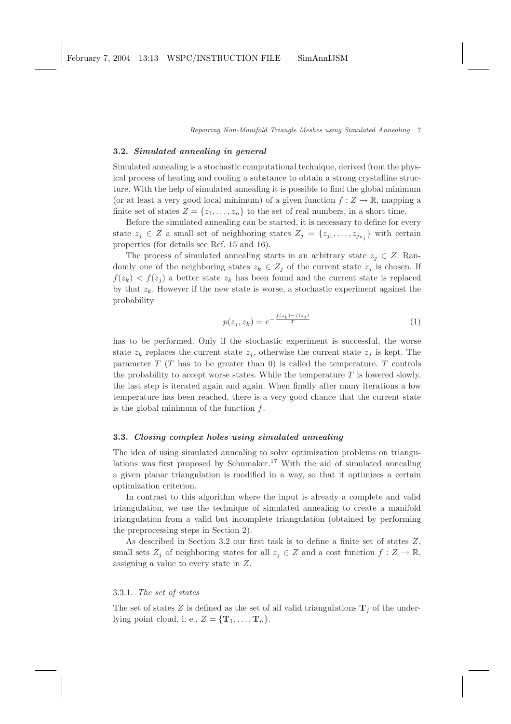### 3.2. Simulated annealing in general

Simulated annealing is a stochastic computational technique, derived from the physical process of heating and cooling a substance to obtain a strong crystalline structure. With the help of simulated annealing it is possible to find the global minimum (or at least a very good local minimum) of a given function  $f: Z \to \mathbb{R}$ , mapping a finite set of states  $Z = \{z_1, \ldots, z_n\}$  to the set of real numbers, in a short time.

Before the simulated annealing can be started, it is necessary to define for every state  $z_j \in Z$  a small set of neighboring states  $Z_j = \{z_{j_1}, \ldots, z_{j_{n_j}}\}$  with certain properties (for details see Ref. 15 and 16).

The process of simulated annealing starts in an arbitrary state  $z_j \in Z$ . Randomly one of the neighboring states  $z_k \in Z_j$  of the current state  $z_j$  is chosen. If  $f(z_k) < f(z_i)$  a better state  $z_k$  has been found and the current state is replaced by that  $z_k$ . However if the new state is worse, a stochastic experiment against the probability

$$
p(z_j, z_k) = e^{-\frac{f(z_k) - f(z_j)}{T}}
$$
\n
$$
(1)
$$

has to be performed. Only if the stochastic experiment is successful, the worse state  $z_k$  replaces the current state  $z_j$ , otherwise the current state  $z_j$  is kept. The parameter  $T(T)$  has to be greater than 0) is called the temperature. T controls the probability to accept worse states. While the temperature  $T$  is lowered slowly, the last step is iterated again and again. When finally after many iterations a low temperature has been reached, there is a very good chance that the current state is the global minimum of the function  $f$ .

## 3.3. Closing complex holes using simulated annealing

The idea of using simulated annealing to solve optimization problems on triangulations was first proposed by Schumaker.<sup>17</sup> With the aid of simulated annealing a given planar triangulation is modified in a way, so that it optimizes a certain optimization criterion.

In contrast to this algorithm where the input is already a complete and valid triangulation, we use the technique of simulated annealing to create a manifold triangulation from a valid but incomplete triangulation (obtained by performing the preprocessing steps in Section 2).

As described in Section 3.2 our first task is to define a finite set of states Z, small sets  $Z_j$  of neighboring states for all  $z_j \in Z$  and a cost function  $f: Z \to \mathbb{R}$ , assigning a value to every state in Z.

# 3.3.1. The set of states

The set of states Z is defined as the set of all valid triangulations  $\mathbf{T}_i$  of the underlying point cloud, i. e.,  $Z = {\mathbf{T}_1, \ldots, \mathbf{T}_n}$ .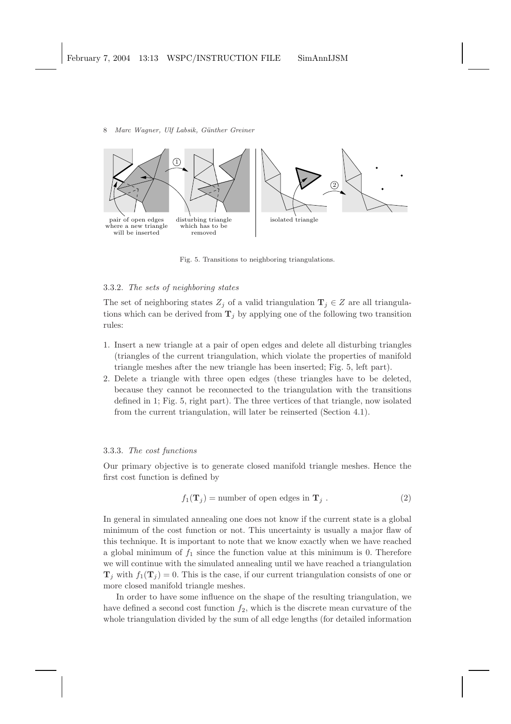

Fig. 5. Transitions to neighboring triangulations.

# 3.3.2. The sets of neighboring states

The set of neighboring states  $Z_i$  of a valid triangulation  $\mathbf{T}_i \in Z$  are all triangulations which can be derived from  $\mathbf{T}_j$  by applying one of the following two transition rules:

- 1. Insert a new triangle at a pair of open edges and delete all disturbing triangles (triangles of the current triangulation, which violate the properties of manifold triangle meshes after the new triangle has been inserted; Fig. 5, left part).
- 2. Delete a triangle with three open edges (these triangles have to be deleted, because they cannot be reconnected to the triangulation with the transitions defined in 1; Fig. 5, right part). The three vertices of that triangle, now isolated from the current triangulation, will later be reinserted (Section 4.1).

### 3.3.3. The cost functions

Our primary objective is to generate closed manifold triangle meshes. Hence the first cost function is defined by

$$
f_1(\mathbf{T}_j) = \text{number of open edges in } \mathbf{T}_j . \tag{2}
$$

In general in simulated annealing one does not know if the current state is a global minimum of the cost function or not. This uncertainty is usually a major flaw of this technique. It is important to note that we know exactly when we have reached a global minimum of  $f_1$  since the function value at this minimum is 0. Therefore we will continue with the simulated annealing until we have reached a triangulation  $\mathbf{T}_j$  with  $f_1(\mathbf{T}_j) = 0$ . This is the case, if our current triangulation consists of one or more closed manifold triangle meshes.

In order to have some influence on the shape of the resulting triangulation, we have defined a second cost function  $f_2$ , which is the discrete mean curvature of the whole triangulation divided by the sum of all edge lengths (for detailed information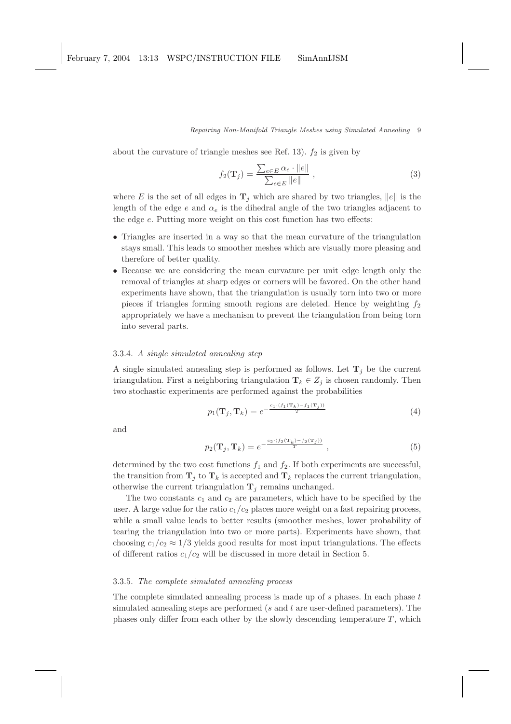about the curvature of triangle meshes see Ref. 13).  $f_2$  is given by

$$
f_2(\mathbf{T}_j) = \frac{\sum_{e \in E} \alpha_e \cdot ||e||}{\sum_{e \in E} ||e||}, \qquad (3)
$$

where E is the set of all edges in  $\mathbf{T}_j$  which are shared by two triangles,  $||e||$  is the length of the edge e and  $\alpha_e$  is the dihedral angle of the two triangles adjacent to the edge e. Putting more weight on this cost function has two effects:

- Triangles are inserted in a way so that the mean curvature of the triangulation stays small. This leads to smoother meshes which are visually more pleasing and therefore of better quality.
- Because we are considering the mean curvature per unit edge length only the removal of triangles at sharp edges or corners will be favored. On the other hand experiments have shown, that the triangulation is usually torn into two or more pieces if triangles forming smooth regions are deleted. Hence by weighting  $f_2$ appropriately we have a mechanism to prevent the triangulation from being torn into several parts.

### 3.3.4. A single simulated annealing step

A single simulated annealing step is performed as follows. Let  $\mathbf{T}_j$  be the current triangulation. First a neighboring triangulation  $\mathbf{T}_k \in Z_j$  is chosen randomly. Then two stochastic experiments are performed against the probabilities

$$
p_1(\mathbf{T}_j, \mathbf{T}_k) = e^{-\frac{c_1 \cdot (f_1(\mathbf{T}_k) - f_1(\mathbf{T}_j))}{T}}
$$
\n
$$
\tag{4}
$$

and

$$
p_2(\mathbf{T}_j, \mathbf{T}_k) = e^{-\frac{c_2 \cdot (f_2(\mathbf{T}_k) - f_2(\mathbf{T}_j))}{T}}, \qquad (5)
$$

determined by the two cost functions  $f_1$  and  $f_2$ . If both experiments are successful, the transition from  $\mathbf{T}_i$  to  $\mathbf{T}_k$  is accepted and  $\mathbf{T}_k$  replaces the current triangulation, otherwise the current triangulation  $\mathbf{T}_j$  remains unchanged.

The two constants  $c_1$  and  $c_2$  are parameters, which have to be specified by the user. A large value for the ratio  $c_1/c_2$  places more weight on a fast repairing process, while a small value leads to better results (smoother meshes, lower probability of tearing the triangulation into two or more parts). Experiments have shown, that choosing  $c_1/c_2 \approx 1/3$  yields good results for most input triangulations. The effects of different ratios  $c_1/c_2$  will be discussed in more detail in Section 5.

# 3.3.5. The complete simulated annealing process

The complete simulated annealing process is made up of  $s$  phases. In each phase  $t$ simulated annealing steps are performed (s and t are user-defined parameters). The phases only differ from each other by the slowly descending temperature  $T$ , which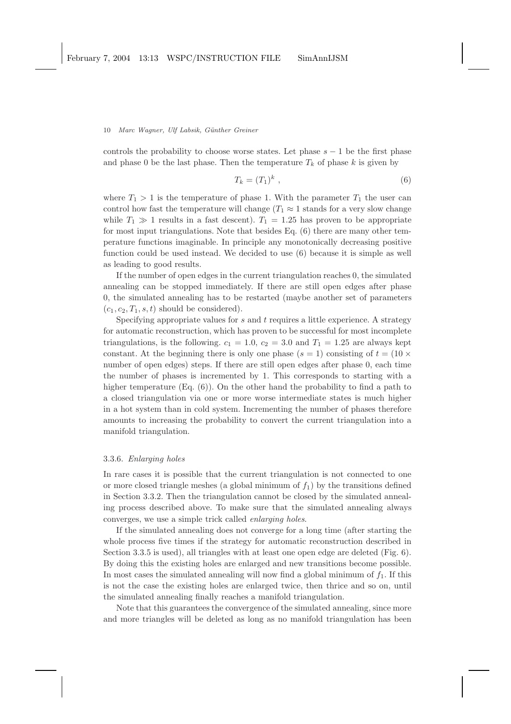controls the probability to choose worse states. Let phase  $s - 1$  be the first phase and phase 0 be the last phase. Then the temperature  $T_k$  of phase k is given by

$$
T_k = (T_1)^k \t\t(6)
$$

where  $T_1 > 1$  is the temperature of phase 1. With the parameter  $T_1$  the user can control how fast the temperature will change ( $T_1 \approx 1$  stands for a very slow change while  $T_1 \gg 1$  results in a fast descent).  $T_1 = 1.25$  has proven to be appropriate for most input triangulations. Note that besides Eq. (6) there are many other temperature functions imaginable. In principle any monotonically decreasing positive function could be used instead. We decided to use (6) because it is simple as well as leading to good results.

If the number of open edges in the current triangulation reaches 0, the simulated annealing can be stopped immediately. If there are still open edges after phase 0, the simulated annealing has to be restarted (maybe another set of parameters  $(c_1, c_2, T_1, s, t)$  should be considered).

Specifying appropriate values for  $s$  and  $t$  requires a little experience. A strategy for automatic reconstruction, which has proven to be successful for most incomplete triangulations, is the following.  $c_1 = 1.0$ ,  $c_2 = 3.0$  and  $T_1 = 1.25$  are always kept constant. At the beginning there is only one phase  $(s = 1)$  consisting of  $t = (10 \times$ number of open edges) steps. If there are still open edges after phase 0, each time the number of phases is incremented by 1. This corresponds to starting with a higher temperature  $(Eq. (6))$ . On the other hand the probability to find a path to a closed triangulation via one or more worse intermediate states is much higher in a hot system than in cold system. Incrementing the number of phases therefore amounts to increasing the probability to convert the current triangulation into a manifold triangulation.

## 3.3.6. Enlarging holes

In rare cases it is possible that the current triangulation is not connected to one or more closed triangle meshes (a global minimum of  $f_1$ ) by the transitions defined in Section 3.3.2. Then the triangulation cannot be closed by the simulated annealing process described above. To make sure that the simulated annealing always converges, we use a simple trick called enlarging holes.

If the simulated annealing does not converge for a long time (after starting the whole process five times if the strategy for automatic reconstruction described in Section 3.3.5 is used), all triangles with at least one open edge are deleted (Fig. 6). By doing this the existing holes are enlarged and new transitions become possible. In most cases the simulated annealing will now find a global minimum of  $f_1$ . If this is not the case the existing holes are enlarged twice, then thrice and so on, until the simulated annealing finally reaches a manifold triangulation.

Note that this guarantees the convergence of the simulated annealing, since more and more triangles will be deleted as long as no manifold triangulation has been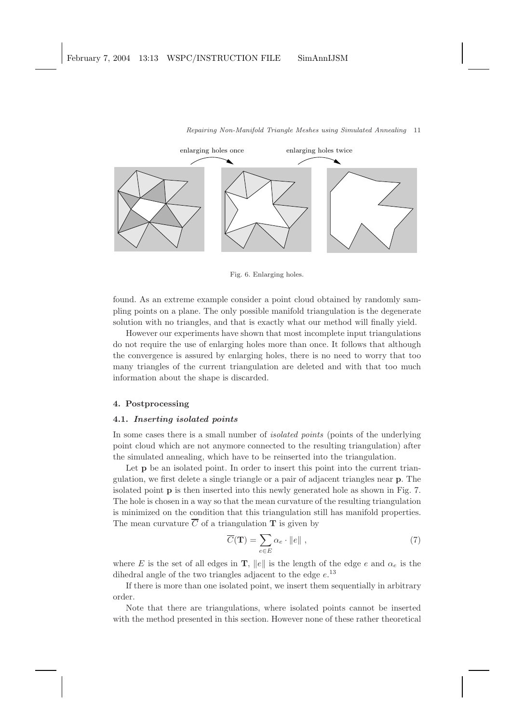

Fig. 6. Enlarging holes.

found. As an extreme example consider a point cloud obtained by randomly sampling points on a plane. The only possible manifold triangulation is the degenerate solution with no triangles, and that is exactly what our method will finally yield.

However our experiments have shown that most incomplete input triangulations do not require the use of enlarging holes more than once. It follows that although the convergence is assured by enlarging holes, there is no need to worry that too many triangles of the current triangulation are deleted and with that too much information about the shape is discarded.

# 4. Postprocessing

## 4.1. Inserting isolated points

In some cases there is a small number of *isolated points* (points of the underlying point cloud which are not anymore connected to the resulting triangulation) after the simulated annealing, which have to be reinserted into the triangulation.

Let **p** be an isolated point. In order to insert this point into the current triangulation, we first delete a single triangle or a pair of adjacent triangles near p. The isolated point p is then inserted into this newly generated hole as shown in Fig. 7. The hole is chosen in a way so that the mean curvature of the resulting triangulation is minimized on the condition that this triangulation still has manifold properties. The mean curvature  $\overline{C}$  of a triangulation **T** is given by

$$
\overline{C}(\mathbf{T}) = \sum_{e \in E} \alpha_e \cdot ||e|| \tag{7}
$$

where E is the set of all edges in T,  $||e||$  is the length of the edge e and  $\alpha_e$  is the dihedral angle of the two triangles adjacent to the edge  $e^{i}$ .<sup>13</sup>

If there is more than one isolated point, we insert them sequentially in arbitrary order.

Note that there are triangulations, where isolated points cannot be inserted with the method presented in this section. However none of these rather theoretical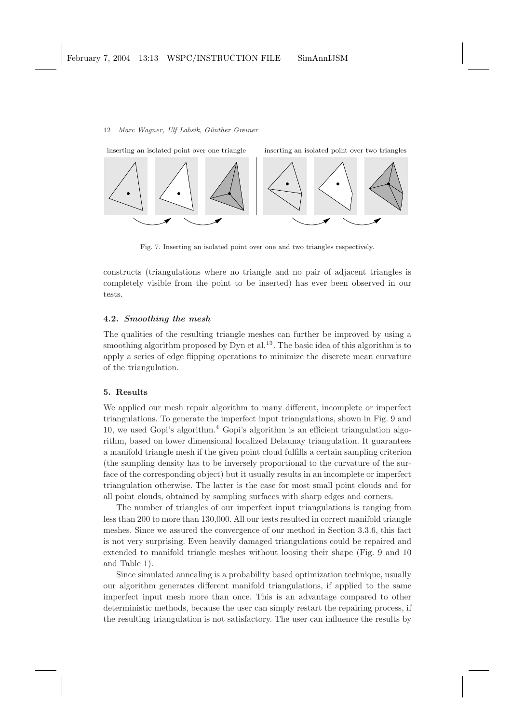

Fig. 7. Inserting an isolated point over one and two triangles respectively.

constructs (triangulations where no triangle and no pair of adjacent triangles is completely visible from the point to be inserted) has ever been observed in our tests.

## 4.2. Smoothing the mesh

The qualities of the resulting triangle meshes can further be improved by using a smoothing algorithm proposed by Dyn et al.<sup>13</sup>. The basic idea of this algorithm is to apply a series of edge flipping operations to minimize the discrete mean curvature of the triangulation.

## 5. Results

We applied our mesh repair algorithm to many different, incomplete or imperfect triangulations. To generate the imperfect input triangulations, shown in Fig. 9 and 10, we used Gopi's algorithm.<sup>4</sup> Gopi's algorithm is an efficient triangulation algorithm, based on lower dimensional localized Delaunay triangulation. It guarantees a manifold triangle mesh if the given point cloud fulfills a certain sampling criterion (the sampling density has to be inversely proportional to the curvature of the surface of the corresponding object) but it usually results in an incomplete or imperfect triangulation otherwise. The latter is the case for most small point clouds and for all point clouds, obtained by sampling surfaces with sharp edges and corners.

The number of triangles of our imperfect input triangulations is ranging from less than 200 to more than 130,000. All our tests resulted in correct manifold triangle meshes. Since we assured the convergence of our method in Section 3.3.6, this fact is not very surprising. Even heavily damaged triangulations could be repaired and extended to manifold triangle meshes without loosing their shape (Fig. 9 and 10 and Table 1).

Since simulated annealing is a probability based optimization technique, usually our algorithm generates different manifold triangulations, if applied to the same imperfect input mesh more than once. This is an advantage compared to other deterministic methods, because the user can simply restart the repairing process, if the resulting triangulation is not satisfactory. The user can influence the results by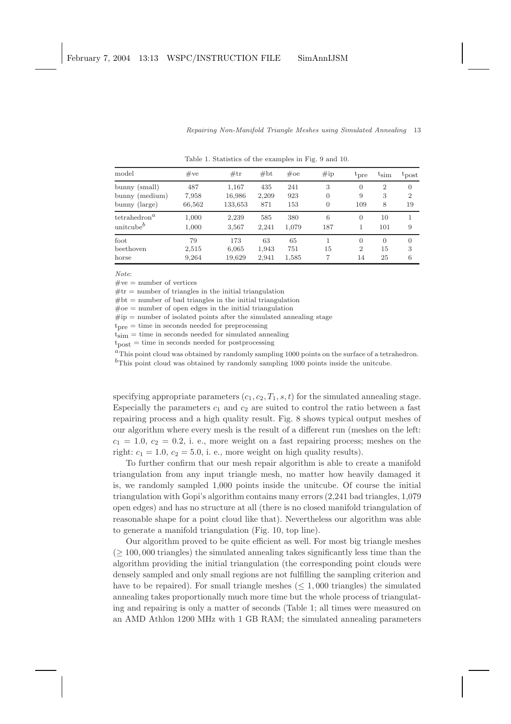| $_{\rm model}$                                   | $\#\mathrm{ve}$        | #tr                        | #bt                  | $\#\text{oe}$      | $\#$ ip                         | $t_{pre}$                              | $t_{sim}$                | $t_{\text{post}}$                      |
|--------------------------------------------------|------------------------|----------------------------|----------------------|--------------------|---------------------------------|----------------------------------------|--------------------------|----------------------------------------|
| bunny (small)<br>bunny (medium)<br>bunny (large) | 487<br>7,958<br>66,562 | 1,167<br>16,986<br>133,653 | 435<br>2,209<br>871  | 241<br>923<br>153  | 3<br>$\overline{0}$<br>$\theta$ | $\overline{0}$<br>9<br>109             | $\overline{2}$<br>3<br>8 | $\overline{0}$<br>$\overline{2}$<br>19 |
| $\text{tetrahedron}^a$<br>$\text{unitcube}^b$    | 1,000<br>1,000         | 2,239<br>3,567             | 585<br>2.241         | 380<br>1,079       | 6<br>187                        | 0                                      | 10<br>101                | 9                                      |
| $_{\rm foot}$<br>beethoven<br>horse              | 79<br>2,515<br>9,264   | 173<br>6,065<br>19,629     | 63<br>1,943<br>2,941 | 65<br>751<br>1,585 | 15<br>7                         | $\overline{0}$<br>$\overline{2}$<br>14 | $\Omega$<br>15<br>25     | $\theta$<br>3<br>6                     |

Table 1. Statistics of the examples in Fig. 9 and 10.

*Note*:

 $\#$ ve = number of vertices

 $#tr =$  number of triangles in the initial triangulation

 $#bt = number of bad triangles in the initial triangulation$ 

 $\#oe =$  number of open edges in the initial triangulation

 $\#\text{ip} =$  number of isolated points after the simulated annealing stage

 $t<sub>pre</sub> =$  time in seconds needed for preprocessing

 $\dot{t_{sim}}$  = time in seconds needed for simulated annealing

 $t_{\text{post}} =$  time in seconds needed for postprocessing

 ${}^{a}$ This point cloud was obtained by randomly sampling 1000 points on the surface of a tetrahedron.  $<sup>b</sup>$ This point cloud was obtained by randomly sampling 1000 points inside the unitcube.</sup>

specifying appropriate parameters  $(c_1, c_2, T_1, s, t)$  for the simulated annealing stage. Especially the parameters  $c_1$  and  $c_2$  are suited to control the ratio between a fast repairing process and a high quality result. Fig. 8 shows typical output meshes of our algorithm where every mesh is the result of a different run (meshes on the left:  $c_1 = 1.0, c_2 = 0.2, i.$  e., more weight on a fast repairing process; meshes on the right:  $c_1 = 1.0$ ,  $c_2 = 5.0$ , i. e., more weight on high quality results).

To further confirm that our mesh repair algorithm is able to create a manifold triangulation from any input triangle mesh, no matter how heavily damaged it is, we randomly sampled 1,000 points inside the unitcube. Of course the initial triangulation with Gopi's algorithm contains many errors (2,241 bad triangles, 1,079 open edges) and has no structure at all (there is no closed manifold triangulation of reasonable shape for a point cloud like that). Nevertheless our algorithm was able to generate a manifold triangulation (Fig. 10, top line).

Our algorithm proved to be quite efficient as well. For most big triangle meshes  $(> 100, 000$  triangles) the simulated annealing takes significantly less time than the algorithm providing the initial triangulation (the corresponding point clouds were densely sampled and only small regions are not fulfilling the sampling criterion and have to be repaired). For small triangle meshes  $(\leq 1,000$  triangles) the simulated annealing takes proportionally much more time but the whole process of triangulating and repairing is only a matter of seconds (Table 1; all times were measured on an AMD Athlon 1200 MHz with 1 GB RAM; the simulated annealing parameters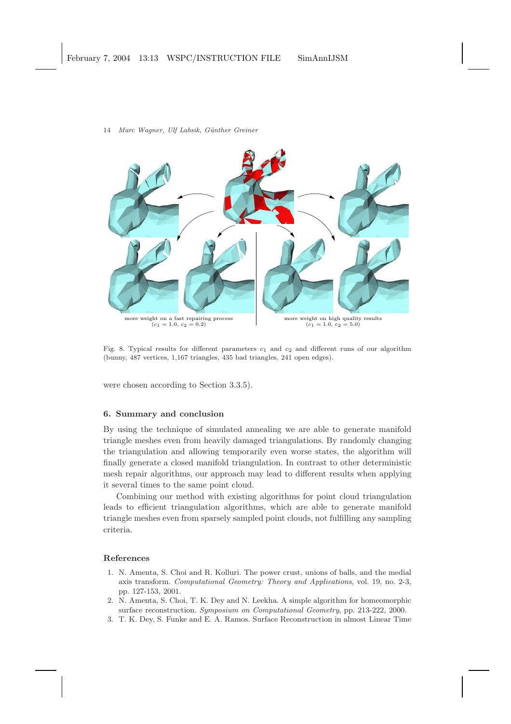

Fig. 8. Typical results for different parameters  $c_1$  and  $c_2$  and different runs of our algorithm (bunny, 487 vertices, 1,167 triangles, 435 bad triangles, 241 open edges).

were chosen according to Section 3.3.5).

## 6. Summary and conclusion

By using the technique of simulated annealing we are able to generate manifold triangle meshes even from heavily damaged triangulations. By randomly changing the triangulation and allowing temporarily even worse states, the algorithm will finally generate a closed manifold triangulation. In contrast to other deterministic mesh repair algorithms, our approach may lead to different results when applying it several times to the same point cloud.

Combining our method with existing algorithms for point cloud triangulation leads to efficient triangulation algorithms, which are able to generate manifold triangle meshes even from sparsely sampled point clouds, not fulfilling any sampling criteria.

## References

- 1. N. Amenta, S. Choi and R. Kolluri. The power crust, unions of balls, and the medial axis transform. Computational Geometry: Theory and Applications, vol. 19, no. 2-3, pp. 127-153, 2001.
- 2. N. Amenta, S. Choi, T. K. Dey and N. Leekha. A simple algorithm for homeomorphic surface reconstruction. Symposium on Computational Geometry, pp. 213-222, 2000.
- 3. T. K. Dey, S. Funke and E. A. Ramos. Surface Reconstruction in almost Linear Time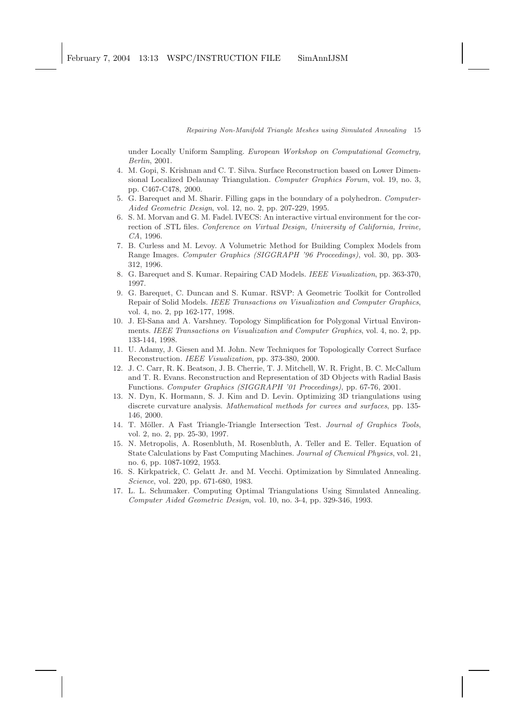under Locally Uniform Sampling. European Workshop on Computational Geometry, Berlin, 2001.

- 4. M. Gopi, S. Krishnan and C. T. Silva. Surface Reconstruction based on Lower Dimensional Localized Delaunay Triangulation. Computer Graphics Forum, vol. 19, no. 3, pp. C467-C478, 2000.
- 5. G. Barequet and M. Sharir. Filling gaps in the boundary of a polyhedron. Computer-Aided Geometric Design, vol. 12, no. 2, pp. 207-229, 1995.
- 6. S. M. Morvan and G. M. Fadel. IVECS: An interactive virtual environment for the correction of .STL files. Conference on Virtual Design, University of California, Irvine, CA, 1996.
- 7. B. Curless and M. Levoy. A Volumetric Method for Building Complex Models from Range Images. Computer Graphics (SIGGRAPH '96 Proceedings), vol. 30, pp. 303- 312, 1996.
- 8. G. Barequet and S. Kumar. Repairing CAD Models. IEEE Visualization, pp. 363-370, 1997.
- 9. G. Barequet, C. Duncan and S. Kumar. RSVP: A Geometric Toolkit for Controlled Repair of Solid Models. IEEE Transactions on Visualization and Computer Graphics, vol. 4, no. 2, pp 162-177, 1998.
- 10. J. El-Sana and A. Varshney. Topology Simplification for Polygonal Virtual Environments. IEEE Transactions on Visualization and Computer Graphics, vol. 4, no. 2, pp. 133-144, 1998.
- 11. U. Adamy, J. Giesen and M. John. New Techniques for Topologically Correct Surface Reconstruction. IEEE Visualization, pp. 373-380, 2000.
- 12. J. C. Carr, R. K. Beatson, J. B. Cherrie, T. J. Mitchell, W. R. Fright, B. C. McCallum and T. R. Evans. Reconstruction and Representation of 3D Objects with Radial Basis Functions. Computer Graphics (SIGGRAPH '01 Proceedings), pp. 67-76, 2001.
- 13. N. Dyn, K. Hormann, S. J. Kim and D. Levin. Optimizing 3D triangulations using discrete curvature analysis. Mathematical methods for curves and surfaces, pp. 135- 146, 2000.
- 14. T. Möller. A Fast Triangle-Triangle Intersection Test. Journal of Graphics Tools, vol. 2, no. 2, pp. 25-30, 1997.
- 15. N. Metropolis, A. Rosenbluth, M. Rosenbluth, A. Teller and E. Teller. Equation of State Calculations by Fast Computing Machines. Journal of Chemical Physics, vol. 21, no. 6, pp. 1087-1092, 1953.
- 16. S. Kirkpatrick, C. Gelatt Jr. and M. Vecchi. Optimization by Simulated Annealing. Science, vol. 220, pp. 671-680, 1983.
- 17. L. L. Schumaker. Computing Optimal Triangulations Using Simulated Annealing. Computer Aided Geometric Design, vol. 10, no. 3-4, pp. 329-346, 1993.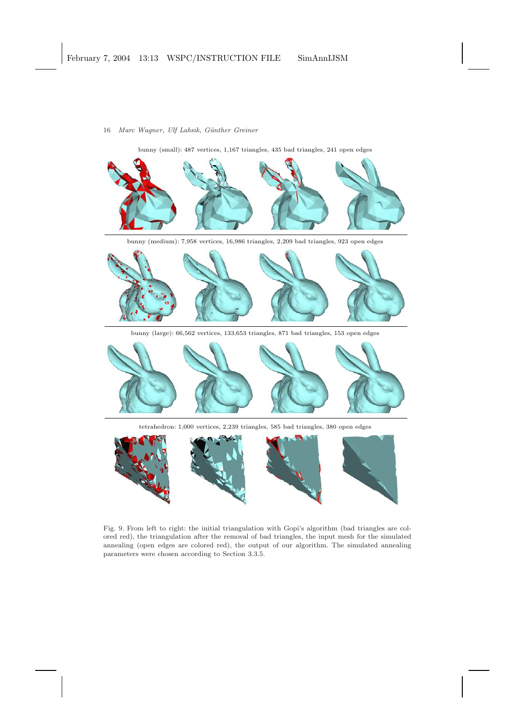bunny (small): 487 vertices, 1,167 triangles, 435 bad triangles, 241 open edges bunny (medium): 7,958 vertices, 16,986 triangles, 2,209 bad triangles, 923 open edges bunny (large): 66,562 vertices, 133,653 triangles, 871 bad triangles, 153 open edges

tetrahedron: 1,000 vertices, 2,239 triangles, 585 bad triangles, 380 open edges



Fig. 9. From left to right: the initial triangulation with Gopi's algorithm (bad triangles are colored red), the triangulation after the removal of bad triangles, the input mesh for the simulated annealing (open edges are colored red), the output of our algorithm. The simulated annealing parameters were chosen according to Section 3.3.5.